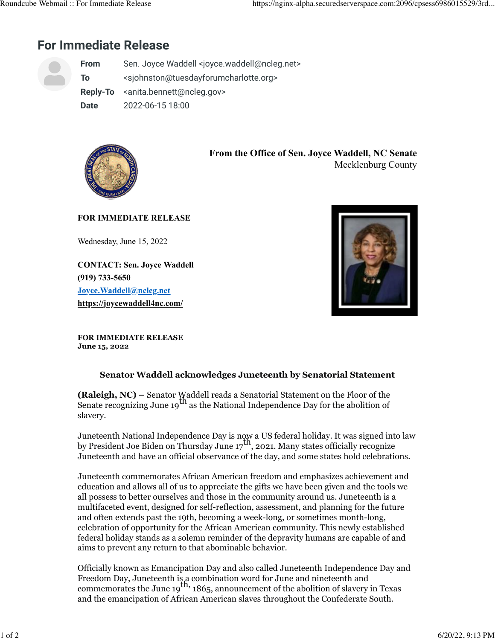## **For Immediate Release**

|  | <b>From</b> | Sen. Joyce Waddell <joyce.waddell@ncleg.net></joyce.waddell@ncleg.net>      |
|--|-------------|-----------------------------------------------------------------------------|
|  | To          | <sjohnston@tuesdayforumcharlotte.org></sjohnston@tuesdayforumcharlotte.org> |
|  |             | Reply-To <anita.bennett@ncleg.gov></anita.bennett@ncleg.gov>                |
|  | <b>Date</b> | 2022-06-15 18:00                                                            |



**From the Office of Sen. Joyce Waddell, NC Senate** Mecklenburg County

## **FOR IMMEDIATE RELEASE**

Wednesday, June 15, 2022

**CONTACT: Sen. Joyce Waddell (919) 733-5650 [Joyce.Waddell@ncleg.net](mailto:Joyce.Waddell@ncleg.net) [https://joycewaddell4nc.com/](https://r20.rs6.net/tn.jsp?f=001SPmFw6h0GYiBNy2HbsGXG8y2V7YyL9B1H65aqbBQBCMI_q_QLuCKvJYB11n2F5pNjw37rQD87nroVNvSURJO6WcV706Q2kRbRa6R_syXOTpSmkuX4NRIF4ux7SD8F1VRwtEU0yNKmS9FXgqNpG63Vw==&c=Mp4dvTc5l-19YLOfxdJhOcXJAHL4FsQCAIMaCtzeh5MKDjXv_U7L4g==&ch=f1ogMw5XBpVwHOhWkRE2F0E4Edvv_DyB6SLRuFKwhHx5vX14alqL3Q==)**



**FOR IMMEDIATE RELEASE June 15, 2022**

## **Senator Waddell acknowledges Juneteenth by Senatorial Statement**

**(Raleigh, NC) –** Senator Waddell reads a Senatorial Statement on the Floor of the Senate recognizing June 19<sup>th</sup> as the National Independence Day for the abolition of slavery.

Juneteenth National Independence Day is now a US federal holiday. It was signed into law by President Joe Biden on Thursday June  $17<sup>th</sup>$ , 2021. Many states officially recognize Juneteenth and have an official observance of the day, and some states hold celebrations.

Juneteenth commemorates African American freedom and emphasizes achievement and education and allows all of us to appreciate the gifts we have been given and the tools we all possess to better ourselves and those in the community around us. Juneteenth is a multifaceted event, designed for self-reflection, assessment, and planning for the future and often extends past the 19th, becoming a week-long, or sometimes month-long, celebration of opportunity for the African American community. This newly established federal holiday stands as a solemn reminder of the depravity humans are capable of and aims to prevent any return to that abominable behavior.

Officially known as Emancipation Day and also called Juneteenth Independence Day and Freedom Day, Juneteenth is, a combination word for June and nineteenth and commemorates the June  $19<sup>th</sup>$ , 1865, announcement of the abolition of slavery in Texas and the emancipation of African American slaves throughout the Confederate South.